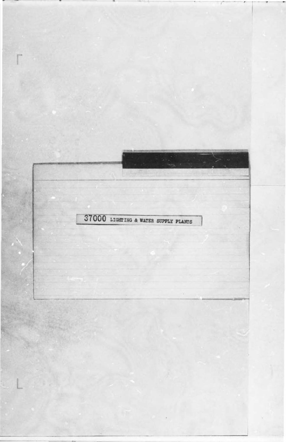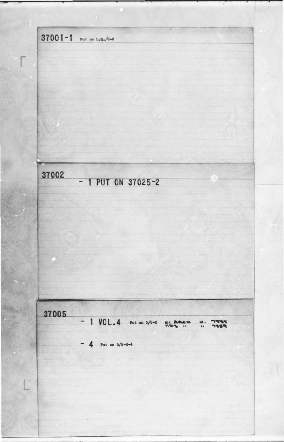37001-1 Put on 5.9./8-8 37002  $-1$  PUT ON 37025-2

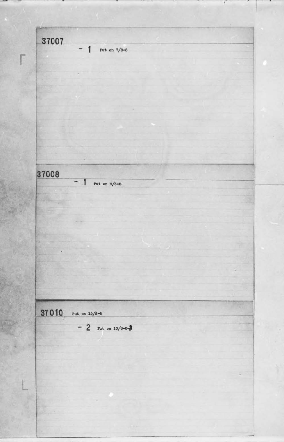•

 $\sim$   $\sim$   $\sim$   $\sim$ I ' -,., - 37007  $- 1$  Put on  $7/8-8$ **r**  •  $\frac{37008}{-1}$  Put on 8/8-8 . . **37010** Put on 10/8-8  $- 2$  Put on 10/8-8-3 .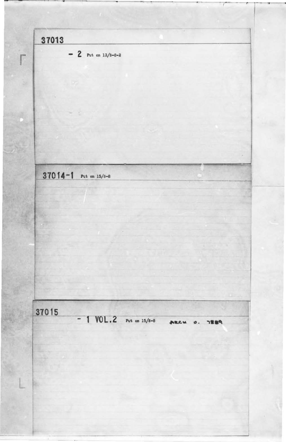$-+++++++$  $\alpha$ **37013** 1  $\begin{array}{|c|c|c|}\n\hline\n\text{r} & \text{r} & \text{r} & \text{r} & \text{r} & \text{r} & \text{r} & \text{r} & \text{r} & \text{r} & \text{r} & \text{r} & \text{r} & \text{r} & \text{r} & \text{r} & \text{r} & \text{r} & \text{r} & \text{r} & \text{r} & \text{r} & \text{r} & \text{r} & \text{r} & \text{r} & \text{r} & \text{r} & \text{r} & \text{r} & \text{r} & \text{r} & \text{r} & \text{r$ **3 7 0 f 4 -1** Put on 15/8-8 -------,-- ---~ **M** 

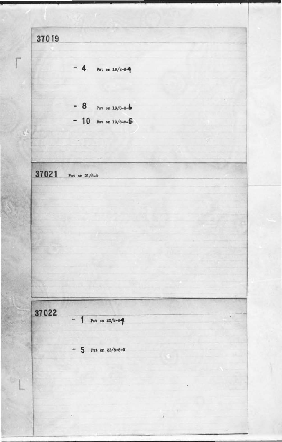37019  $-4$ Put on  $19/8 - 8 - 9$ - 8 Put on 19/8-8-6 - 10 But on 19/8-8-5  $\mathbb{R}^4$ 37021 Put on  $21/8-8$ 37022 Put on  $22/8 - 8$ -8  $\overline{a}$  $-5$  Put on 22/8-8-5

x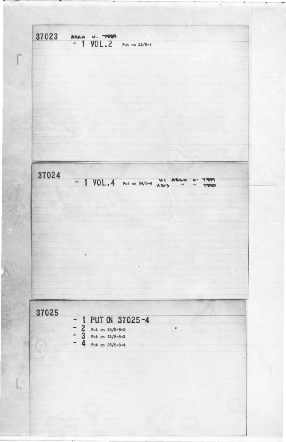37023 **PEST** AREW  $VOL.2$  Put on 23/8-8 -37024 - 1 VOL. 4 Put on 24/8-8  $v.8$ 

 $\blacksquare$ 

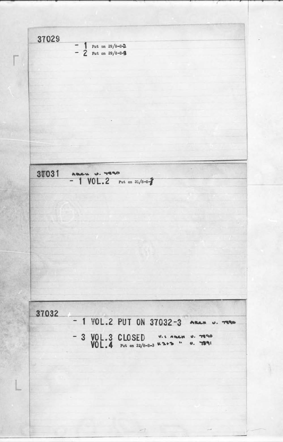I  $37029$  - 1 Put on 29/8-8-2  $-2$  Put on 29/8-84 1 • 37031 ABLU U. 7890<br>- 1 VOL. 2 Put on 31/8-8-

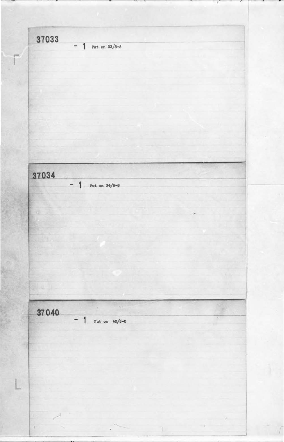37033 Put on  $33/8-8$  $\qquad \qquad$ F 37034  $-$  1 Put on 34/8-8 37040 Put on  $40/8-8$ 1 W.  $\overline{\phantom{0}}$  $\cdot$  )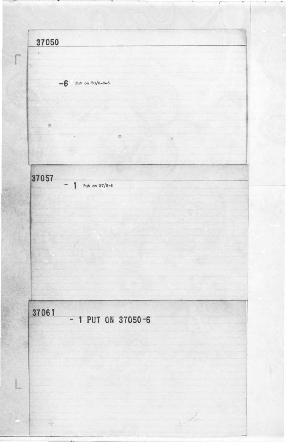37050  $\sqrt{2}$ s  $-6$  Put on 50/8-8-6  $\circ$ u o  $\mathcal{L}$ 37057  $-1$ Put on  $57/8-8$ 

## 37061  $-1$  PUT ON 37050-6

L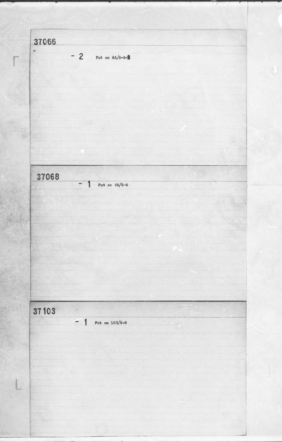37066 w.  $-2$ Put on  $66/8 - 8 - 3$ 37068 Put on  $68/8-8$  $\overline{\phantom{a}}$ 1 37103  $\tau_{\rm i}$  $-1$ Put on  $103/8-8$ 56

L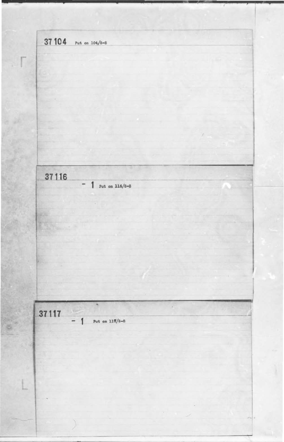37 104 Put on 104/8-8 ti. 37116  $-$  1 Put on 116/8-8 **T**ime  $\sim$   $\sim$ 37117  $\mathbb{R}$ Put on  $117/8 - 8$  $\overline{\phantom{0}}$ g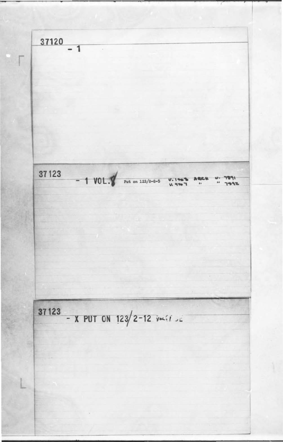

37123 - X PUT ON 123/2-12 Joe 1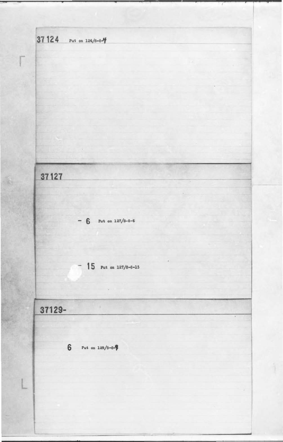37 124 Put on 124/8-8-4 37127 - 6 Put on  $127/8-8-6$  $-15$  Put on 127/8-8-15 37129- $\bar{\bullet}$  $\bf 6$ Put on  $129/8 - 8 - 8$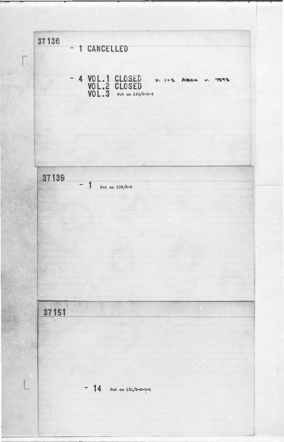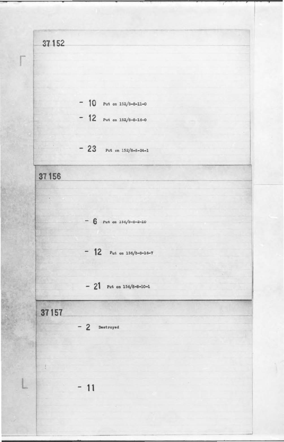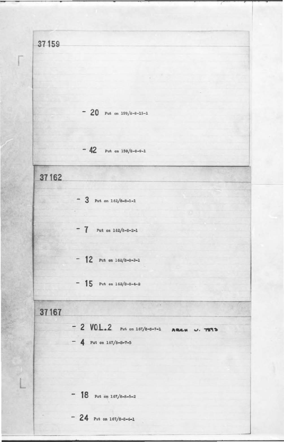( **37159**   $- 20$  Put on  $159/8 - 8 - 15 - 1$  $- 42$  Put on  $159/8 - 8 - 9 - 1$ I 1- **37162**   $-$  3 Put on  $162/8 - 8 - 1 - 1$  $- 7$  Put on  $162/8 - 8 - 2 - 1$